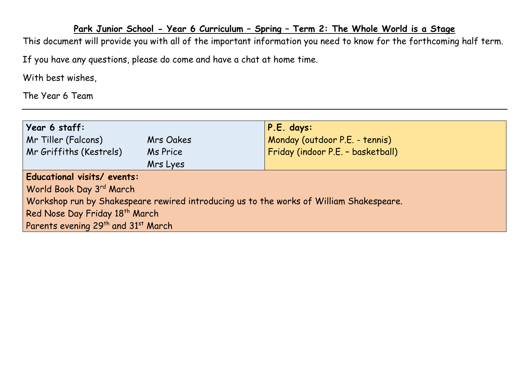## **Park Junior School - Year 6 Curriculum – Spring – Term 2: The Whole World is a Stage**

This document will provide you with all of the important information you need to know for the forthcoming half term.

If you have any questions, please do come and have a chat at home time.

With best wishes,

The Year 6 Team

| Year 6 staff:                                                                           |                  | P.E. days:                        |  |  |  |
|-----------------------------------------------------------------------------------------|------------------|-----------------------------------|--|--|--|
| Mr Tiller (Falcons)                                                                     | <b>Mrs Oakes</b> | Monday (outdoor P.E. - tennis)    |  |  |  |
| Mr Griffiths (Kestrels)                                                                 | Ms Price         | Friday (indoor P.E. - basketball) |  |  |  |
|                                                                                         | Mrs Lyes         |                                   |  |  |  |
| Educational visits/ events:                                                             |                  |                                   |  |  |  |
| World Book Day 3rd March                                                                |                  |                                   |  |  |  |
| Workshop run by Shakespeare rewired introducing us to the works of William Shakespeare. |                  |                                   |  |  |  |
| Red Nose Day Friday 18 <sup>th</sup> March                                              |                  |                                   |  |  |  |
| Parents evening 29 <sup>th</sup> and 31 <sup>st</sup> March                             |                  |                                   |  |  |  |